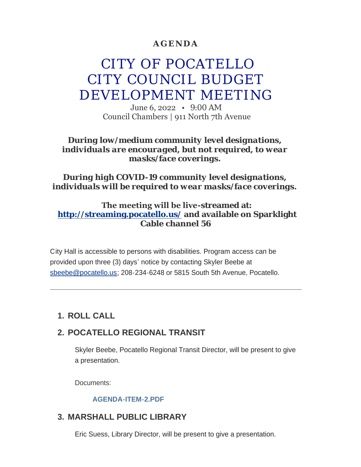## **AGENDA**

# CITY OF POCATELLO CITY COUNCIL BUDGET DEVELOPMENT MEETING

June 6, 2022 • 9:00 AM Council Chambers | 911 North 7th Avenue

#### *During low/medium community level designations, individuals are encouraged, but not required, to wear masks/face coverings.*

### *During high COVID-19 community level designations, individuals will be required to wear masks/face coverings.*

### **The meeting will be live-streamed at: <http://streaming.pocatello.us/> and available on Sparklight Cable channel 56**

City Hall is accessible to persons with disabilities. Program access can be [provided upon three \(3](mailto:sbeebe@pocatello.us)) days' notice by contacting Skyler Beebe at sbeebe@pocatello.us; 208-234-6248 or 5815 South 5th Avenue, Pocatello.

# **ROLL CALL 1.**

# **POCATELLO REGIONAL TRANSIT 2.**

Skyler Beebe, Pocatello Regional Transit Director, will be present to give a presentation.

Documents:

#### **[AGENDA-ITEM-2.PDF](https://www.pocatello.us/AgendaCenter/ViewFile/Item/3403?fileID=10840)**

## **MARSHALL PUBLIC LIBRARY 3.**

Eric Suess, Library Director, will be present to give a presentation.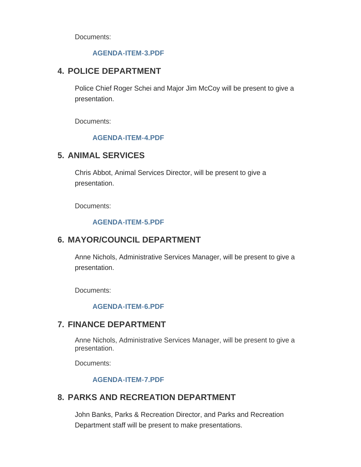Documents:

#### **[AGENDA-ITEM-3.PDF](https://www.pocatello.us/AgendaCenter/ViewFile/Item/3404?fileID=10841)**

# **POLICE DEPARTMENT 4.**

Police Chief Roger Schei and Major Jim McCoy will be present to give a presentation.

Documents:

#### **[AGENDA-ITEM-4.PDF](https://www.pocatello.us/AgendaCenter/ViewFile/Item/3405?fileID=10842)**

## **ANIMAL SERVICES 5.**

Chris Abbot, Animal Services Director, will be present to give a presentation.

Documents:

#### **[AGENDA-ITEM-5.PDF](https://www.pocatello.us/AgendaCenter/ViewFile/Item/3406?fileID=10843)**

## **MAYOR/COUNCIL DEPARTMENT 6.**

Anne Nichols, Administrative Services Manager, will be present to give a presentation.

Documents:

#### **[AGENDA-ITEM-6.PDF](https://www.pocatello.us/AgendaCenter/ViewFile/Item/3407?fileID=10844)**

## **FINANCE DEPARTMENT 7.**

Anne Nichols, Administrative Services Manager, will be present to give a presentation.

Documents:

#### **[AGENDA-ITEM-7.PDF](https://www.pocatello.us/AgendaCenter/ViewFile/Item/3408?fileID=10857)**

## **PARKS AND RECREATION DEPARTMENT 8.**

John Banks, Parks & Recreation Director, and Parks and Recreation Department staff will be present to make presentations.